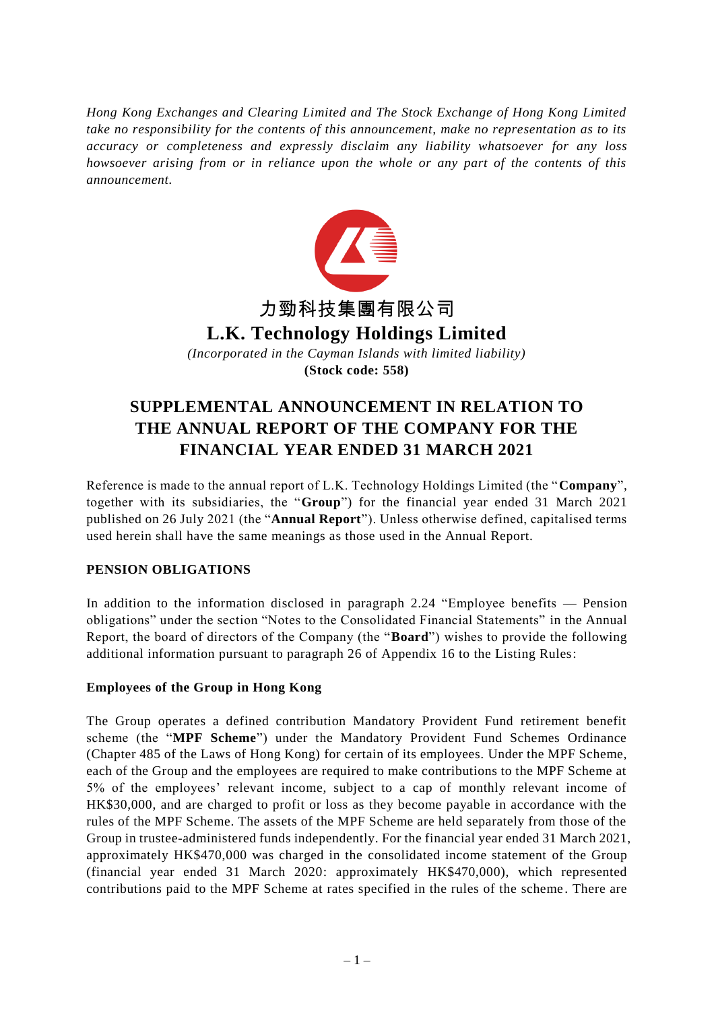*Hong Kong Exchanges and Clearing Limited and The Stock Exchange of Hong Kong Limited take no responsibility for the contents of this announcement, make no representation as to its accuracy or completeness and expressly disclaim any liability whatsoever for any loss howsoever arising from or in reliance upon the whole or any part of the contents of this announcement.*



# **L.K. Technology Holdings Limited**

*(Incorporated in the Cayman Islands with limited liability)* **(Stock code: 558)**

# **SUPPLEMENTAL ANNOUNCEMENT IN RELATION TO THE ANNUAL REPORT OF THE COMPANY FOR THE FINANCIAL YEAR ENDED 31 MARCH 2021**

Reference is made to the annual report of L.K. Technology Holdings Limited (the "**Company**", together with its subsidiaries, the "**Group**") for the financial year ended 31 March 2021 published on 26 July 2021 (the "**Annual Report**"). Unless otherwise defined, capitalised terms used herein shall have the same meanings as those used in the Annual Report.

## **PENSION OBLIGATIONS**

In addition to the information disclosed in paragraph 2.24 "Employee benefits — Pension obligations" under the section "Notes to the Consolidated Financial Statements" in the Annual Report, the board of directors of the Company (the "**Board**") wishes to provide the following additional information pursuant to paragraph 26 of Appendix 16 to the Listing Rules:

#### **Employees of the Group in Hong Kong**

The Group operates a defined contribution Mandatory Provident Fund retirement benefit scheme (the "**MPF Scheme**") under the Mandatory Provident Fund Schemes Ordinance (Chapter 485 of the Laws of Hong Kong) for certain of its employees. Under the MPF Scheme, each of the Group and the employees are required to make contributions to the MPF Scheme at 5% of the employees' relevant income, subject to a cap of monthly relevant income of HK\$30,000, and are charged to profit or loss as they become payable in accordance with the rules of the MPF Scheme. The assets of the MPF Scheme are held separately from those of the Group in trustee-administered funds independently. For the financial year ended 31 March 2021, approximately HK\$470,000 was charged in the consolidated income statement of the Group (financial year ended 31 March 2020: approximately HK\$470,000), which represented contributions paid to the MPF Scheme at rates specified in the rules of the scheme . There are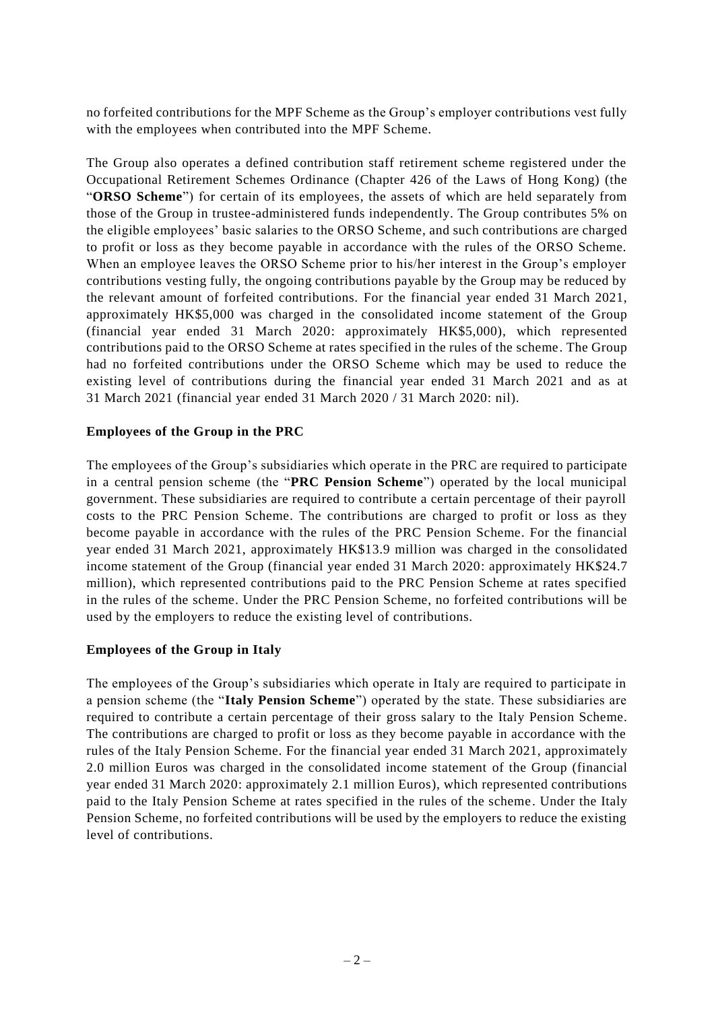no forfeited contributions for the MPF Scheme as the Group's employer contributions vest fully with the employees when contributed into the MPF Scheme.

The Group also operates a defined contribution staff retirement scheme registered under the Occupational Retirement Schemes Ordinance (Chapter 426 of the Laws of Hong Kong) (the "**ORSO Scheme**") for certain of its employees, the assets of which are held separately from those of the Group in trustee-administered funds independently. The Group contributes 5% on the eligible employees' basic salaries to the ORSO Scheme, and such contributions are charged to profit or loss as they become payable in accordance with the rules of the ORSO Scheme. When an employee leaves the ORSO Scheme prior to his/her interest in the Group's employer contributions vesting fully, the ongoing contributions payable by the Group may be reduced by the relevant amount of forfeited contributions. For the financial year ended 31 March 2021, approximately HK\$5,000 was charged in the consolidated income statement of the Group (financial year ended 31 March 2020: approximately HK\$5,000), which represented contributions paid to the ORSO Scheme at rates specified in the rules of the scheme. The Group had no forfeited contributions under the ORSO Scheme which may be used to reduce the existing level of contributions during the financial year ended 31 March 2021 and as at 31 March 2021 (financial year ended 31 March 2020 / 31 March 2020: nil).

#### **Employees of the Group in the PRC**

The employees of the Group's subsidiaries which operate in the PRC are required to participate in a central pension scheme (the "**PRC Pension Scheme**") operated by the local municipal government. These subsidiaries are required to contribute a certain percentage of their payroll costs to the PRC Pension Scheme. The contributions are charged to profit or loss as they become payable in accordance with the rules of the PRC Pension Scheme. For the financial year ended 31 March 2021, approximately HK\$13.9 million was charged in the consolidated income statement of the Group (financial year ended 31 March 2020: approximately HK\$24.7 million), which represented contributions paid to the PRC Pension Scheme at rates specified in the rules of the scheme. Under the PRC Pension Scheme, no forfeited contributions will be used by the employers to reduce the existing level of contributions.

## **Employees of the Group in Italy**

The employees of the Group's subsidiaries which operate in Italy are required to participate in a pension scheme (the "**Italy Pension Scheme**") operated by the state. These subsidiaries are required to contribute a certain percentage of their gross salary to the Italy Pension Scheme. The contributions are charged to profit or loss as they become payable in accordance with the rules of the Italy Pension Scheme. For the financial year ended 31 March 2021, approximately 2.0 million Euros was charged in the consolidated income statement of the Group (financial year ended 31 March 2020: approximately 2.1 million Euros), which represented contributions paid to the Italy Pension Scheme at rates specified in the rules of the scheme. Under the Italy Pension Scheme, no forfeited contributions will be used by the employers to reduce the existing level of contributions.